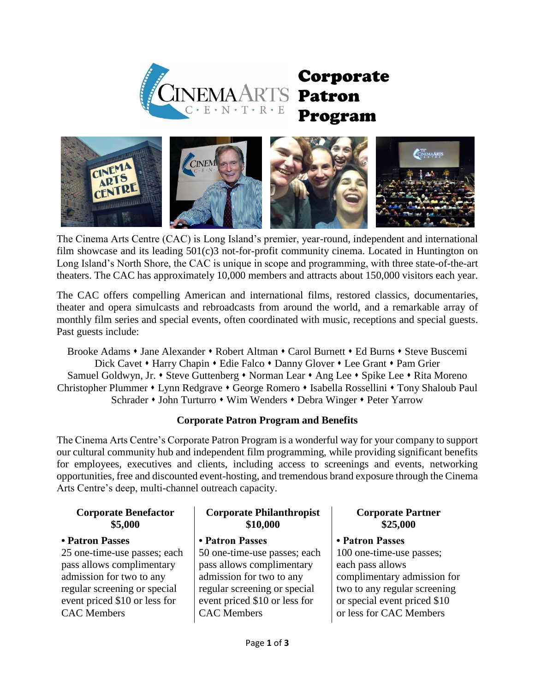

# Corporate Program



The Cinema Arts Centre (CAC) is Long Island's premier, year-round, independent and international film showcase and its leading 501(c)3 not-for-profit community cinema. Located in Huntington on Long Island's North Shore, the CAC is unique in scope and programming, with three state-of-the-art theaters. The CAC has approximately 10,000 members and attracts about 150,000 visitors each year.

The CAC offers compelling American and international films, restored classics, documentaries, theater and opera simulcasts and rebroadcasts from around the world, and a remarkable array of monthly film series and special events, often coordinated with music, receptions and special guests. Past guests include:

Brooke Adams • Jane Alexander • Robert Altman • Carol Burnett • Ed Burns • Steve Buscemi Dick Cavet • Harry Chapin • Edie Falco • Danny Glover • Lee Grant • Pam Grier Samuel Goldwyn, Jr. • Steve Guttenberg • Norman Lear • Ang Lee • Spike Lee • Rita Moreno Christopher Plummer • Lynn Redgrave • George Romero • Isabella Rossellini • Tony Shaloub Paul Schrader • John Turturro • Wim Wenders • Debra Winger • Peter Yarrow

# **Corporate Patron Program and Benefits**

The Cinema Arts Centre's Corporate Patron Program is a wonderful way for your company to support our cultural community hub and independent film programming, while providing significant benefits for employees, executives and clients, including access to screenings and events, networking opportunities, free and discounted event-hosting, and tremendous brand exposure through the Cinema Arts Centre's deep, multi-channel outreach capacity.

#### **Corporate Benefactor \$5,000**

## **• Patron Passes**

25 one-time-use passes; each pass allows complimentary admission for two to any regular screening or special event priced \$10 or less for CAC Members

# **Corporate Philanthropist \$10,000**

## **• Patron Passes**

50 one-time-use passes; each pass allows complimentary admission for two to any regular screening or special event priced \$10 or less for CAC Members

# **Corporate Partner \$25,000**

# **• Patron Passes**

100 one-time-use passes; each pass allows complimentary admission for two to any regular screening or special event priced \$10 or less for CAC Members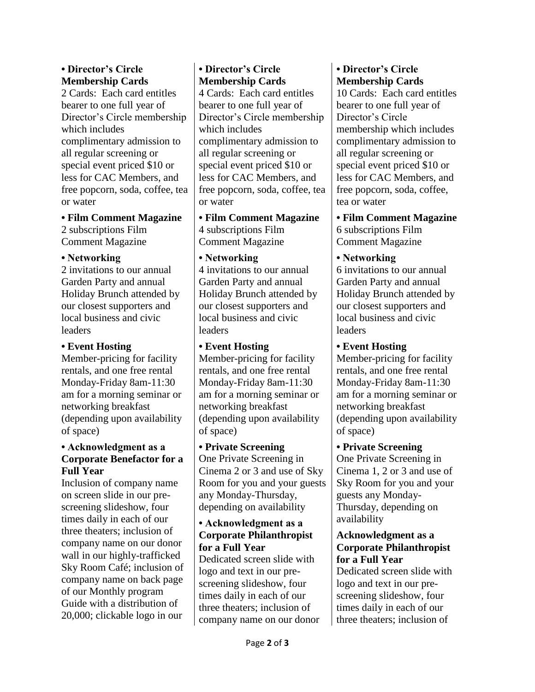## **• Director's Circle Membership Cards**

2 Cards: Each card entitles bearer to one full year of Director's Circle membership which includes complimentary admission to all regular screening or special event priced \$10 or less for CAC Members, and free popcorn, soda, coffee, tea or water

**• Film Comment Magazine**

2 subscriptions Film Comment Magazine

#### **• Networking**

2 invitations to our annual Garden Party and annual Holiday Brunch attended by our closest supporters and local business and civic leaders

## **• Event Hosting**

Member-pricing for facility rentals, and one free rental Monday-Friday 8am-11:30 am for a morning seminar or networking breakfast (depending upon availability of space)

## **• Acknowledgment as a Corporate Benefactor for a Full Year**

Inclusion of company name on screen slide in our prescreening slideshow, four times daily in each of our three theaters; inclusion of company name on our donor wall in our highly-trafficked Sky Room Café; inclusion of company name on back page of our Monthly program Guide with a distribution of 20,000; clickable logo in our

# **• Director's Circle Membership Cards**

4 Cards: Each card entitles bearer to one full year of Director's Circle membership which includes complimentary admission to all regular screening or special event priced \$10 or less for CAC Members, and free popcorn, soda, coffee, tea or water

**• Film Comment Magazine** 4 subscriptions Film Comment Magazine

#### **• Networking**

4 invitations to our annual Garden Party and annual Holiday Brunch attended by our closest supporters and local business and civic leaders

## **• Event Hosting** Member-pricing for facility rentals, and one free rental Monday-Friday 8am-11:30 am for a morning seminar or networking breakfast (depending upon availability

of space) **• Private Screening** One Private Screening in Cinema 2 or 3 and use of Sky Room for you and your guests any Monday-Thursday,

# **• Acknowledgment as a Corporate Philanthropist for a Full Year**

depending on availability

Dedicated screen slide with logo and text in our prescreening slideshow, four times daily in each of our three theaters; inclusion of company name on our donor

# **• Director's Circle Membership Cards**

10 Cards: Each card entitles bearer to one full year of Director's Circle membership which includes complimentary admission to all regular screening or special event priced \$10 or less for CAC Members, and free popcorn, soda, coffee, tea or water

**• Film Comment Magazine** 6 subscriptions Film Comment Magazine

## **• Networking**

6 invitations to our annual Garden Party and annual Holiday Brunch attended by our closest supporters and local business and civic leaders

# **• Event Hosting**

Member-pricing for facility rentals, and one free rental Monday-Friday 8am-11:30 am for a morning seminar or networking breakfast (depending upon availability of space)

# **• Private Screening**

One Private Screening in Cinema 1, 2 or 3 and use of Sky Room for you and your guests any Monday-Thursday, depending on availability

## **Acknowledgment as a Corporate Philanthropist for a Full Year**

Dedicated screen slide with logo and text in our prescreening slideshow, four times daily in each of our three theaters; inclusion of